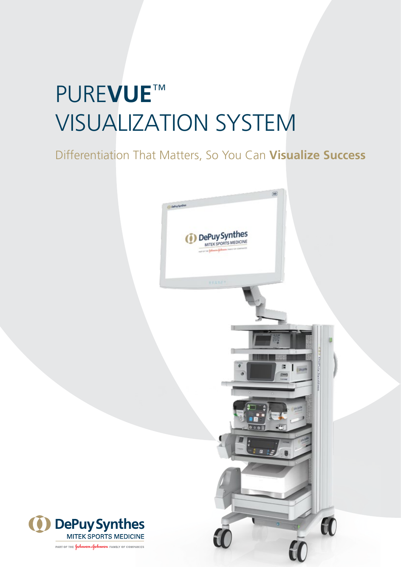# PURE**VUE**™ VISUALIZATION SYSTEM

### Differentiation That Matters, So You Can **Visualize Success**



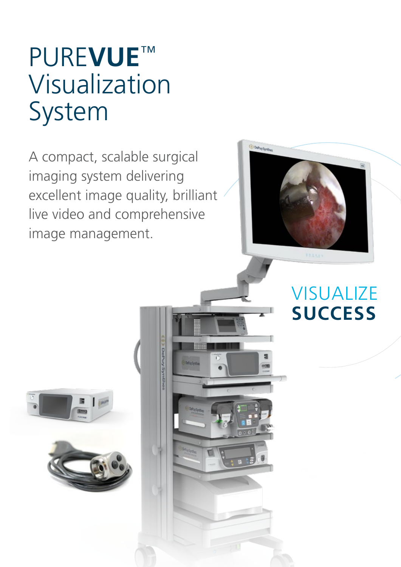# PURE**VUE**™ Visualization System

A compact, scalable surgical imaging system delivering excellent image quality, brilliant live video and comprehensive image management.



Y.



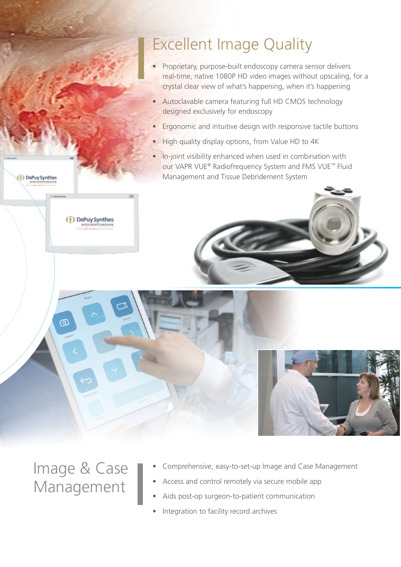## Excellent Image Quality

- Proprietary, purpose-built endoscopy camera sensor delivers real-time, native 1080P HD video images without upscaling, for a crystal clear view of what's happening, when it's happening
- Autoclavable camera featuring full HD CMOS technology designed exclusively for endoscopy
- Ergonomic and intuitive design with responsive tactile buttons
- High quality display options, from Value HD to 4K
- In-joint visibility enhanced when used in combination with our VAPR VUE® Radiofrequency System and FMS VUE™ Fluid Management and Tissue Debridement System



(1) DePuy Synthes

෬

<sup>(1)</sup> DePuy Synthes

- Comprehensive, easy-to-set-up Image and Case Management
- Access and control remotely via secure mobile app
- Aids post-op surgeon-to-patient communication
- Integration to facility record archives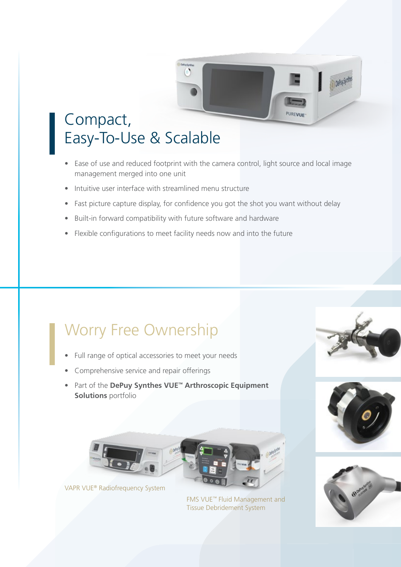

• Ease of use and reduced footprint with the camera control, light source and local image management merged into one unit

**PUREVUE** 

- Intuitive user interface with streamlined menu structure
- Fast picture capture display, for confidence you got the shot you want without delay
- Built-in forward compatibility with future software and hardware
- Flexible configurations to meet facility needs now and into the future

## Worry Free Ownership

- Full range of optical accessories to meet your needs
- Comprehensive service and repair offerings
- Part of the **DePuy Synthes VUE™ Arthroscopic Equipment Solutions** portfolio









FMS VUE™ Fluid Management and Tissue Debridement System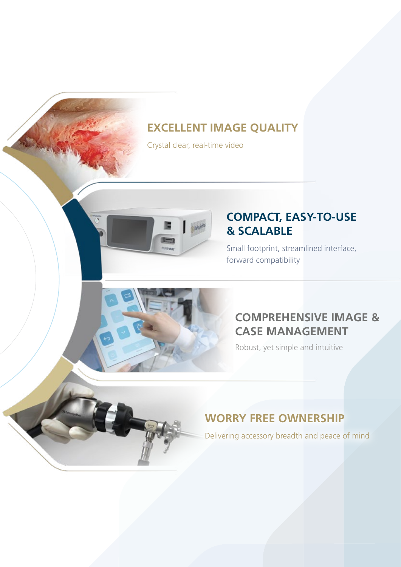#### **EXCELLENT IMAGE QUALITY**

Crystal clear, real-time video



#### **COMPACT, EASY-TO-USE & SCALABLE**

Small footprint, streamlined interface, forward compatibility

#### **COMPREHENSIVE IMAGE & CASE MANAGEMENT**

Robust, yet simple and intuitive

### **WORRY FREE OWNERSHIP**

Delivering accessory breadth and peace of mind